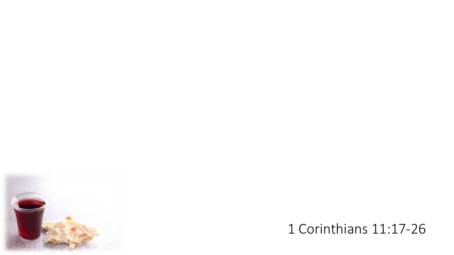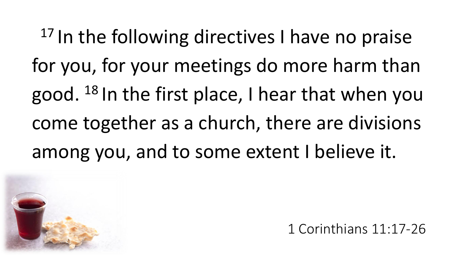<sup>17</sup> In the following directives I have no praise for you, for your meetings do more harm than good. <sup>18</sup> In the first place, I hear that when you come together as a church, there are divisions among you, and to some extent I believe it.

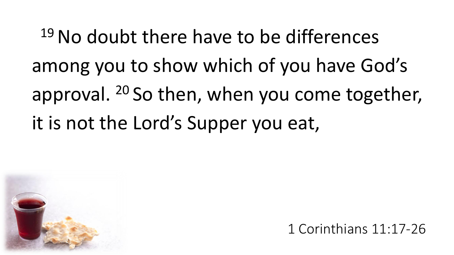<sup>19</sup> No doubt there have to be differences among you to show which of you have God's approval. <sup>20</sup> So then, when you come together, it is not the Lord's Supper you eat,

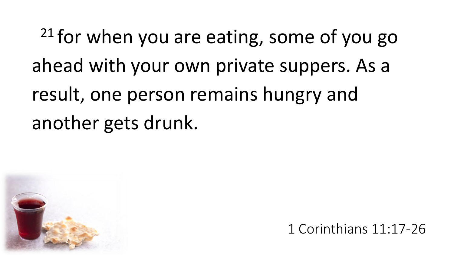$21$  for when you are eating, some of you go ahead with your own private suppers. As a result, one person remains hungry and another gets drunk.

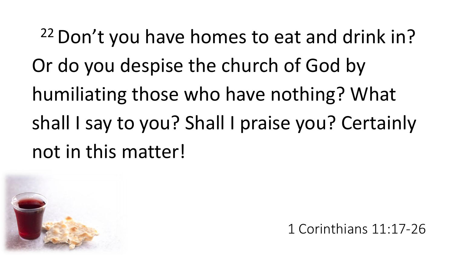<sup>22</sup> Don't you have homes to eat and drink in? Or do you despise the church of God by humiliating those who have nothing? What shall I say to you? Shall I praise you? Certainly not in this matter!

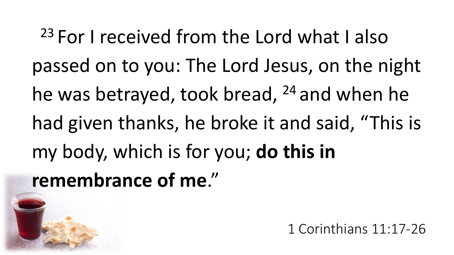<sup>23</sup> For I received from the Lord what I also passed on to you: The Lord Jesus, on the night he was betrayed, took bread, <sup>24</sup> and when he had given thanks, he broke it and said, "This is my body, which is for you; **do this in remembrance of me**."